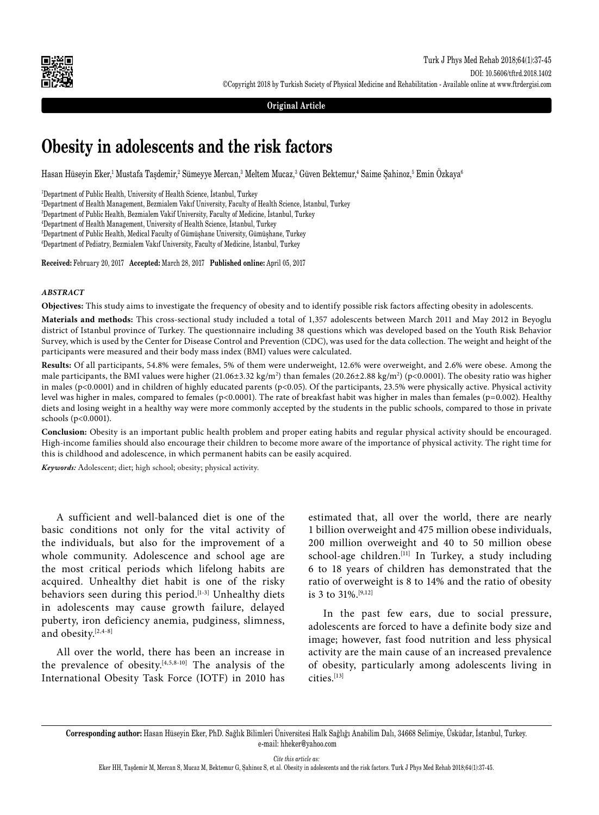

**Original Article**

# **Obesity in adolescents and the risk factors**

Hasan Hüseyin Eker,<sup>1</sup> Mustafa Taşdemir,<sup>2</sup> Sümeyye Mercan,<sup>3</sup> Meltem Mucaz,<sup>3</sup> Güven Bektemur,<sup>4</sup> Saime Şahinoz,<sup>5</sup> Emin Ozkaya<sup>6</sup>

1 Department of Public Health, University of Health Science, İstanbul, Turkey

2 Department of Health Management, Bezmialem Vakıf University, Faculty of Health Science, İstanbul, Turkey

3 Department of Public Health, Bezmialem Vakif University, Faculty of Medicine, İstanbul, Turkey

4 Department of Health Management, University of Health Science, İstanbul, Turkey

5 Department of Public Health, Medical Faculty of Gümüşhane University, Gümüşhane, Turkey

6 Department of Pediatry, Bezmialem Vakıf University, Faculty of Medicine, İstanbul, Turkey

**Received:** February 20, 2017 **Accepted:** March 28, 2017 **Published online:** April 05, 2017

#### *ABSTRACT*

**Objectives:** This study aims to investigate the frequency of obesity and to identify possible risk factors affecting obesity in adolescents.

**Materials and methods:** This cross-sectional study included a total of 1,357 adolescents between March 2011 and May 2012 in Beyoglu district of Istanbul province of Turkey. The questionnaire including 38 questions which was developed based on the Youth Risk Behavior Survey, which is used by the Center for Disease Control and Prevention (CDC), was used for the data collection. The weight and height of the participants were measured and their body mass index (BMI) values were calculated.

**Results:** Of all participants, 54.8% were females, 5% of them were underweight, 12.6% were overweight, and 2.6% were obese. Among the male participants, the BMI values were higher (21.06±3.32 kg/m<sup>2</sup>) than females (20.26±2.88 kg/m<sup>2</sup>) (p<0.0001). The obesity ratio was higher in males (p<0.0001) and in children of highly educated parents (p<0.05). Of the participants, 23.5% were physically active. Physical activity level was higher in males, compared to females (p<0.0001). The rate of breakfast habit was higher in males than females (p=0.002). Healthy diets and losing weight in a healthy way were more commonly accepted by the students in the public schools, compared to those in private schools (p<0.0001).

**Conclusion:** Obesity is an important public health problem and proper eating habits and regular physical activity should be encouraged. High-income families should also encourage their children to become more aware of the importance of physical activity. The right time for this is childhood and adolescence, in which permanent habits can be easily acquired.

*Keywords:* Adolescent; diet; high school; obesity; physical activity.

A sufficient and well-balanced diet is one of the basic conditions not only for the vital activity of the individuals, but also for the improvement of a whole community. Adolescence and school age are the most critical periods which lifelong habits are acquired. Unhealthy diet habit is one of the risky behaviors seen during this period.<sup>[1-3]</sup> Unhealthy diets in adolescents may cause growth failure, delayed puberty, iron deficiency anemia, pudginess, slimness, and obesity.[2,4-8]

All over the world, there has been an increase in the prevalence of obesity. $[4,5,8-10]$  The analysis of the International Obesity Task Force (IOTF) in 2010 has estimated that, all over the world, there are nearly 1 billion overweight and 475 million obese individuals, 200 million overweight and 40 to 50 million obese school-age children.<sup>[11]</sup> In Turkey, a study including 6 to 18 years of children has demonstrated that the ratio of overweight is 8 to 14% and the ratio of obesity is 3 to 31%.[9,12]

In the past few ears, due to social pressure, adolescents are forced to have a definite body size and image; however, fast food nutrition and less physical activity are the main cause of an increased prevalence of obesity, particularly among adolescents living in cities.[13]

*Cite this article as:*

Eker HH, Taşdemir M, Mercan S, Mucaz M, Bektemur G, Şahinoz S, et al. Obesity in adolescents and the risk factors. Turk J Phys Med Rehab 2018;64(1):37-45.

**Corresponding author:** Hasan Hüseyin Eker, PhD. Sağlık Bilimleri Üniversitesi Halk Sağlığı Anabilim Dalı, 34668 Selimiye, Üsküdar, İstanbul, Turkey. e-mail: hheker@yahoo.com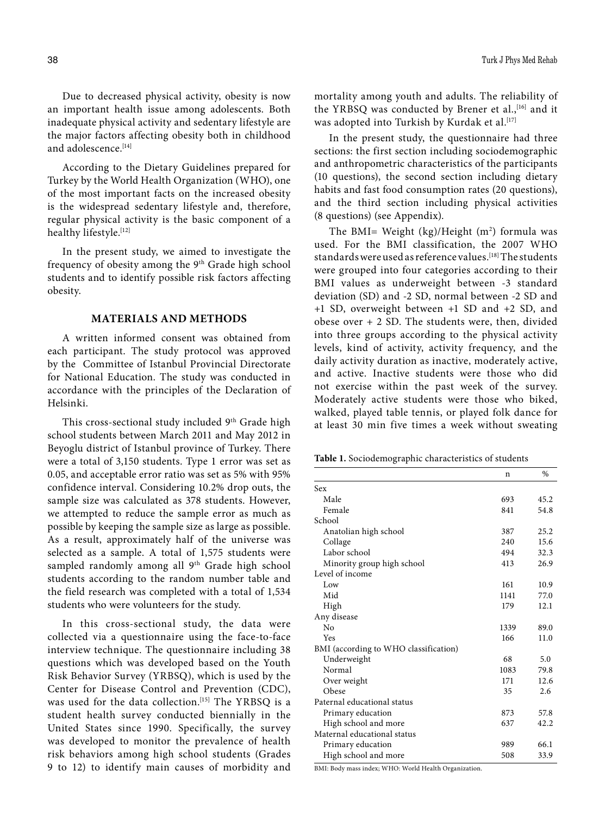Due to decreased physical activity, obesity is now an important health issue among adolescents. Both inadequate physical activity and sedentary lifestyle are the major factors affecting obesity both in childhood and adolescence.[14]

According to the Dietary Guidelines prepared for Turkey by the World Health Organization (WHO), one of the most important facts on the increased obesity is the widespread sedentary lifestyle and, therefore, regular physical activity is the basic component of a healthy lifestyle.[12]

In the present study, we aimed to investigate the frequency of obesity among the 9<sup>th</sup> Grade high school students and to identify possible risk factors affecting obesity.

### **MATERIALS AND METHODS**

A written informed consent was obtained from each participant. The study protocol was approved by the Committee of Istanbul Provincial Directorate for National Education. The study was conducted in accordance with the principles of the Declaration of Helsinki.

This cross-sectional study included 9<sup>th</sup> Grade high school students between March 2011 and May 2012 in Beyoglu district of Istanbul province of Turkey. There were a total of 3,150 students. Type 1 error was set as 0.05, and acceptable error ratio was set as 5% with 95% confidence interval. Considering 10.2% drop outs, the sample size was calculated as 378 students. However, we attempted to reduce the sample error as much as possible by keeping the sample size as large as possible. As a result, approximately half of the universe was selected as a sample. A total of 1,575 students were sampled randomly among all 9<sup>th</sup> Grade high school students according to the random number table and the field research was completed with a total of 1,534 students who were volunteers for the study.

In this cross-sectional study, the data were collected via a questionnaire using the face-to-face interview technique. The questionnaire including 38 questions which was developed based on the Youth Risk Behavior Survey (YRBSQ), which is used by the Center for Disease Control and Prevention (CDC), was used for the data collection.<sup>[15]</sup> The YRBSQ is a student health survey conducted biennially in the United States since 1990. Specifically, the survey was developed to monitor the prevalence of health risk behaviors among high school students (Grades 9 to 12) to identify main causes of morbidity and mortality among youth and adults. The reliability of the YRBSQ was conducted by Brener et al.,<sup>[16]</sup> and it was adopted into Turkish by Kurdak et al.[17]

In the present study, the questionnaire had three sections: the first section including sociodemographic and anthropometric characteristics of the participants (10 questions), the second section including dietary habits and fast food consumption rates (20 questions), and the third section including physical activities (8 questions) (see Appendix).

The BMI= Weight  $(kg)/\text{Height}(m^2)$  formula was used. For the BMI classification, the 2007 WHO standards were used as reference values.[18] The students were grouped into four categories according to their BMI values as underweight between -3 standard deviation (SD) and -2 SD, normal between -2 SD and +1 SD, overweight between +1 SD and +2 SD, and obese over + 2 SD. The students were, then, divided into three groups according to the physical activity levels, kind of activity, activity frequency, and the daily activity duration as inactive, moderately active, and active. Inactive students were those who did not exercise within the past week of the survey. Moderately active students were those who biked, walked, played table tennis, or played folk dance for at least 30 min five times a week without sweating

**Table 1.** Sociodemographic characteristics of students

|                                       | n    | $\frac{0}{0}$ |
|---------------------------------------|------|---------------|
| Sex                                   |      |               |
| Male                                  | 693  | 45.2          |
| Female                                | 841  | 54.8          |
| School                                |      |               |
| Anatolian high school                 | 387  | 25.2          |
| Collage                               | 240  | 15.6          |
| Labor school                          | 494  | 32.3          |
| Minority group high school            | 413  | 26.9          |
| Level of income                       |      |               |
| Low                                   | 161  | 10.9          |
| Mid                                   | 1141 | 77.0          |
| High                                  | 179  | 12.1          |
| Any disease                           |      |               |
| N <sub>0</sub>                        | 1339 | 89.0          |
| Yes                                   | 166  | 11.0          |
| BMI (according to WHO classification) |      |               |
| Underweight                           | 68   | 5.0           |
| Normal                                | 1083 | 79.8          |
| Over weight                           | 171  | 12.6          |
| Obese                                 | 35   | 2.6           |
| Paternal educational status           |      |               |
| Primary education                     | 873  | 57.8          |
| High school and more                  | 637  | 42.2          |
| Maternal educational status           |      |               |
| Primary education                     | 989  | 66.1          |
| High school and more                  | 508  | 33.9          |

BMI: Body mass index; WHO: World Health Organization.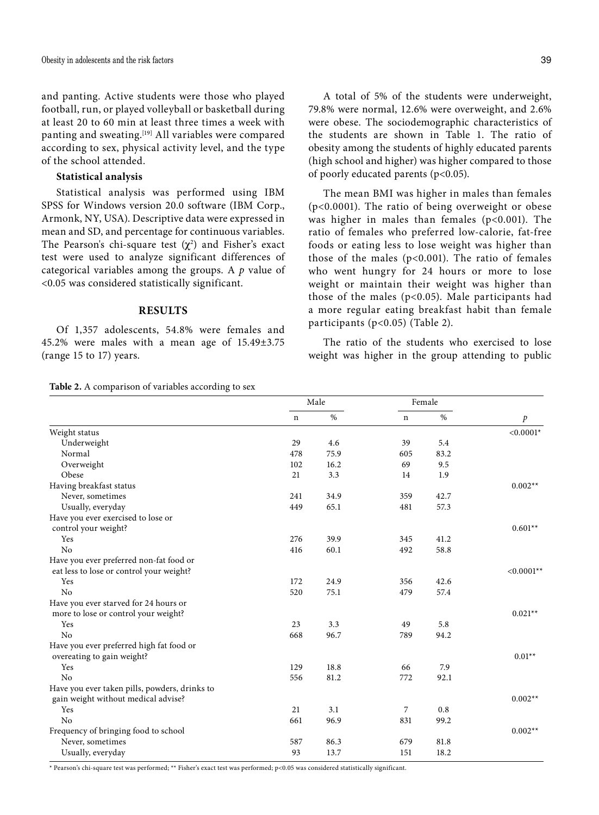and panting. Active students were those who played football, run, or played volleyball or basketball during at least 20 to 60 min at least three times a week with panting and sweating.<sup>[19]</sup> All variables were compared according to sex, physical activity level, and the type of the school attended.

#### **Statistical analysis**

Statistical analysis was performed using IBM SPSS for Windows version 20.0 software (IBM Corp., Armonk, NY, USA). Descriptive data were expressed in mean and SD, and percentage for continuous variables. The Pearson's chi-square test  $(\chi^2)$  and Fisher's exact test were used to analyze significant differences of categorical variables among the groups. A *p* value of <0.05 was considered statistically significant.

#### **RESULTS**

Of 1,357 adolescents, 54.8% were females and 45.2% were males with a mean age of 15.49±3.75 (range 15 to 17) years.

A total of 5% of the students were underweight, 79.8% were normal, 12.6% were overweight, and 2.6% were obese. The sociodemographic characteristics of the students are shown in Table 1. The ratio of obesity among the students of highly educated parents (high school and higher) was higher compared to those of poorly educated parents  $(p<0.05)$ .

The mean BMI was higher in males than females (p<0.0001). The ratio of being overweight or obese was higher in males than females  $(p<0.001)$ . The ratio of females who preferred low-calorie, fat-free foods or eating less to lose weight was higher than those of the males (p<0.001). The ratio of females who went hungry for 24 hours or more to lose weight or maintain their weight was higher than those of the males ( $p<0.05$ ). Male participants had a more regular eating breakfast habit than female participants (p<0.05) (Table 2).

The ratio of the students who exercised to lose weight was higher in the group attending to public

|                                               | Male        |      | Female      |      |                |  |
|-----------------------------------------------|-------------|------|-------------|------|----------------|--|
|                                               | $\mathbf n$ | $\%$ | $\mathbf n$ | $\%$ | $\mathfrak{p}$ |  |
| Weight status                                 |             |      |             |      | $< 0.0001*$    |  |
| Underweight                                   | 29          | 4.6  | 39          | 5.4  |                |  |
| Normal                                        | 478         | 75.9 | 605         | 83.2 |                |  |
| Overweight                                    | 102         | 16.2 | 69          | 9.5  |                |  |
| Obese                                         | 21          | 3.3  | 14          | 1.9  |                |  |
| Having breakfast status                       |             |      |             |      | $0.002**$      |  |
| Never, sometimes                              | 241         | 34.9 | 359         | 42.7 |                |  |
| Usually, everyday                             | 449         | 65.1 | 481         | 57.3 |                |  |
| Have you ever exercised to lose or            |             |      |             |      |                |  |
| control your weight?                          |             |      |             |      | $0.601**$      |  |
| Yes                                           | 276         | 39.9 | 345         | 41.2 |                |  |
| No                                            | 416         | 60.1 | 492         | 58.8 |                |  |
| Have you ever preferred non-fat food or       |             |      |             |      |                |  |
| eat less to lose or control your weight?      |             |      |             |      | $< 0.0001**$   |  |
| Yes                                           | 172         | 24.9 | 356         | 42.6 |                |  |
| No                                            | 520         | 75.1 | 479         | 57.4 |                |  |
| Have you ever starved for 24 hours or         |             |      |             |      |                |  |
| more to lose or control your weight?          |             |      |             |      | $0.021**$      |  |
| Yes                                           | 23          | 3.3  | 49          | 5.8  |                |  |
| N <sub>o</sub>                                | 668         | 96.7 | 789         | 94.2 |                |  |
| Have you ever preferred high fat food or      |             |      |             |      |                |  |
| overeating to gain weight?                    |             |      |             |      | $0.01**$       |  |
| Yes                                           | 129         | 18.8 | 66          | 7.9  |                |  |
| No                                            | 556         | 81.2 | 772         | 92.1 |                |  |
| Have you ever taken pills, powders, drinks to |             |      |             |      |                |  |
| gain weight without medical advise?           |             |      |             |      | $0.002**$      |  |
| Yes                                           | 21          | 3.1  | 7           | 0.8  |                |  |
| No                                            | 661         | 96.9 | 831         | 99.2 |                |  |
| Frequency of bringing food to school          |             |      |             |      | $0.002**$      |  |
| Never, sometimes                              | 587         | 86.3 | 679         | 81.8 |                |  |
| Usually, everyday                             | 93          | 13.7 | 151         | 18.2 |                |  |

**Table 2.** A comparison of variables according to sex

\* Pearson's chi-square test was performed; \*\* Fisher's exact test was performed; p<0.05 was considered statistically significant.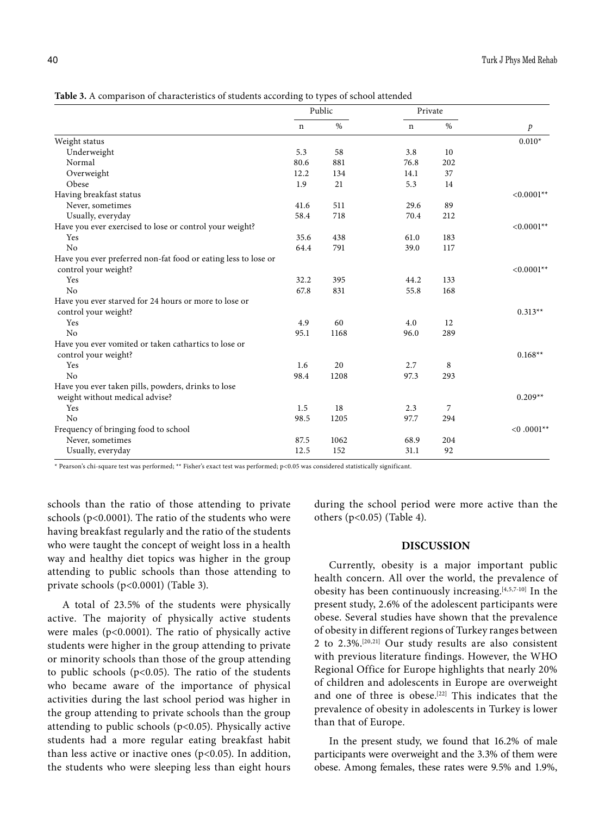|                                                                | Public |      | Private |      |               |
|----------------------------------------------------------------|--------|------|---------|------|---------------|
|                                                                | n      | $\%$ | n       | $\%$ | $\mathcal{P}$ |
| Weight status                                                  |        |      |         |      | $0.010*$      |
| Underweight                                                    | 5.3    | 58   | 3.8     | 10   |               |
| Normal                                                         | 80.6   | 881  | 76.8    | 202  |               |
| Overweight                                                     | 12.2   | 134  | 14.1    | 37   |               |
| Obese                                                          | 1.9    | 21   | 5.3     | 14   |               |
| Having breakfast status                                        |        |      |         |      | $< 0.0001**$  |
| Never, sometimes                                               | 41.6   | 511  | 29.6    | 89   |               |
| Usually, everyday                                              | 58.4   | 718  | 70.4    | 212  |               |
| Have you ever exercised to lose or control your weight?        |        |      |         |      | $< 0.0001**$  |
| Yes                                                            | 35.6   | 438  | 61.0    | 183  |               |
| N <sub>0</sub>                                                 | 64.4   | 791  | 39.0    | 117  |               |
| Have you ever preferred non-fat food or eating less to lose or |        |      |         |      |               |
| control your weight?                                           |        |      |         |      | $< 0.0001**$  |
| Yes                                                            | 32.2   | 395  | 44.2    | 133  |               |
| No                                                             | 67.8   | 831  | 55.8    | 168  |               |
| Have you ever starved for 24 hours or more to lose or          |        |      |         |      | $0.313**$     |
| control your weight?<br>Yes                                    |        | 60   |         | 12   |               |
| No                                                             | 4.9    |      | 4.0     |      |               |
|                                                                | 95.1   | 1168 | 96.0    | 289  |               |
| Have you ever vomited or taken cathartics to lose or           |        |      |         |      | $0.168**$     |
| control your weight?<br>Yes                                    | 1.6    | 20   | 2.7     | 8    |               |
| No                                                             | 98.4   | 1208 | 97.3    | 293  |               |
|                                                                |        |      |         |      |               |
| Have you ever taken pills, powders, drinks to lose             |        |      |         |      | $0.209**$     |
| weight without medical advise?<br>Yes                          | 1.5    | 18   | 2.3     | 7    |               |
| No                                                             | 98.5   | 1205 | 97.7    | 294  |               |
|                                                                |        |      |         |      |               |
| Frequency of bringing food to school                           |        |      |         |      | $0.0001**$    |
| Never, sometimes                                               | 87.5   | 1062 | 68.9    | 204  |               |
| Usually, everyday                                              | 12.5   | 152  | 31.1    | 92   |               |

**Table 3.** A comparison of characteristics of students according to types of school attended

\* Pearson's chi-square test was performed; \*\* Fisher's exact test was performed; p<0.05 was considered statistically significant.

schools than the ratio of those attending to private schools (p<0.0001). The ratio of the students who were having breakfast regularly and the ratio of the students who were taught the concept of weight loss in a health way and healthy diet topics was higher in the group attending to public schools than those attending to private schools (p<0.0001) (Table 3).

A total of 23.5% of the students were physically active. The majority of physically active students were males ( $p<0.0001$ ). The ratio of physically active students were higher in the group attending to private or minority schools than those of the group attending to public schools ( $p$ <0.05). The ratio of the students who became aware of the importance of physical activities during the last school period was higher in the group attending to private schools than the group attending to public schools (p<0.05). Physically active students had a more regular eating breakfast habit than less active or inactive ones ( $p$ <0.05). In addition, the students who were sleeping less than eight hours during the school period were more active than the others (p<0.05) (Table 4).

#### **DISCUSSION**

Currently, obesity is a major important public health concern. All over the world, the prevalence of obesity has been continuously increasing.[4,5,7-10] In the present study, 2.6% of the adolescent participants were obese. Several studies have shown that the prevalence of obesity in different regions of Turkey ranges between 2 to 2.3%.[20,21] Our study results are also consistent with previous literature findings. However, the WHO Regional Office for Europe highlights that nearly 20% of children and adolescents in Europe are overweight and one of three is obese.<sup>[22]</sup> This indicates that the prevalence of obesity in adolescents in Turkey is lower than that of Europe.

In the present study, we found that 16.2% of male participants were overweight and the 3.3% of them were obese. Among females, these rates were 9.5% and 1.9%,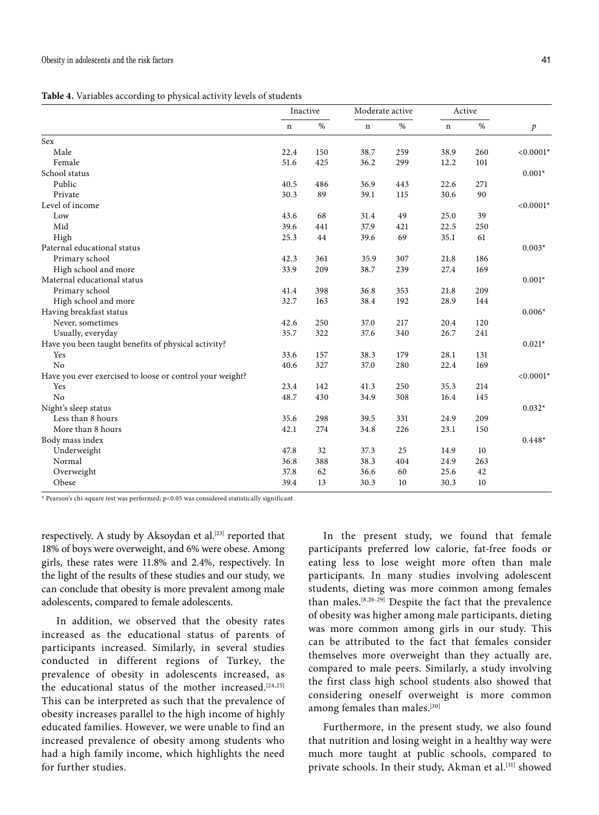|                                                          | Inactive    |      | Moderate active |      | Active      |      |               |
|----------------------------------------------------------|-------------|------|-----------------|------|-------------|------|---------------|
|                                                          | $\mathbf n$ | $\%$ | $\mathbf n$     | $\%$ | $\mathbf n$ | $\%$ | $\mathcal{P}$ |
| Sex                                                      |             |      |                 |      |             |      |               |
| Male                                                     | 22.4        | 150  | 38.7            | 259  | 38.9        | 260  | $< 0.0001*$   |
| Female                                                   | 51.6        | 425  | 36.2            | 299  | 12.2        | 101  |               |
| School status                                            |             |      |                 |      |             |      | $0.001*$      |
| Public                                                   | 40.5        | 486  | 36.9            | 443  | 22.6        | 271  |               |
| Private                                                  | 30.3        | 89   | 39.1            | 115  | 30.6        | 90   |               |
| Level of income                                          |             |      |                 |      |             |      | $< 0.0001*$   |
| Low                                                      | 43.6        | 68   | 31.4            | 49   | 25.0        | 39   |               |
| Mid                                                      | 39.6        | 441  | 37.9            | 421  | 22.5        | 250  |               |
| High                                                     | 25.3        | 44   | 39.6            | 69   | 35.1        | 61   |               |
| Paternal educational status                              |             |      |                 |      |             |      | $0.003*$      |
| Primary school                                           | 42.3        | 361  | 35.9            | 307  | 21.8        | 186  |               |
| High school and more                                     | 33.9        | 209  | 38.7            | 239  | 27.4        | 169  |               |
| Maternal educational status                              |             |      |                 |      |             |      | $0.001*$      |
| Primary school                                           | 41.4        | 398  | 36.8            | 353  | 21.8        | 209  |               |
| High school and more                                     | 32.7        | 163  | 38.4            | 192  | 28.9        | 144  |               |
| Having breakfast status                                  |             |      |                 |      |             |      | $0.006*$      |
| Never, sometimes                                         | 42.6        | 250  | 37.0            | 217  | 20.4        | 120  |               |
| Usually, everyday                                        | 35.7        | 322  | 37.6            | 340  | 26.7        | 241  |               |
| Have you been taught benefits of physical activity?      |             |      |                 |      |             |      | $0.021*$      |
| Yes                                                      | 33.6        | 157  | 38.3            | 179  | 28.1        | 131  |               |
| No                                                       | 40.6        | 327  | 37.0            | 280  | 22.4        | 169  |               |
| Have you ever exercised to loose or control your weight? |             |      |                 |      |             |      | $< 0.0001*$   |
| Yes                                                      | 23.4        | 142  | 41.3            | 250  | 35.3        | 214  |               |
| No                                                       | 48.7        | 430  | 34.9            | 308  | 16.4        | 145  |               |
| Night's sleep status                                     |             |      |                 |      |             |      | $0.032*$      |
| Less than 8 hours                                        | 35.6        | 298  | 39.5            | 331  | 24.9        | 209  |               |
| More than 8 hours                                        | 42.1        | 274  | 34.8            | 226  | 23.1        | 150  |               |
| Body mass index                                          |             |      |                 |      |             |      | $0.448*$      |
| Underweight                                              | 47.8        | 32   | 37.3            | 25   | 14.9        | 10   |               |
| Normal                                                   | 36.8        | 388  | 38.3            | 404  | 24.9        | 263  |               |
| Overweight                                               | 37.8        | 62   | 36.6            | 60   | 25.6        | 42   |               |
| Obese                                                    | 39.4        | 13   | 30.3            | 10   | 30.3        | 10   |               |
|                                                          |             |      |                 |      |             |      |               |

\* Pearson's chi-square test was performed; p<0.05 was considered statistically significant.

respectively. A study by Aksoydan et al.<sup>[23]</sup> reported that 18% of boys were overweight, and 6% were obese. Among girls, these rates were 11.8% and 2.4%, respectively. In the light of the results of these studies and our study, we can conclude that obesity is more prevalent among male adolescents, compared to female adolescents.

In addition, we observed that the obesity rates increased as the educational status of parents of participants increased. Similarly, in several studies conducted in different regions of Turkey, the prevalence of obesity in adolescents increased, as the educational status of the mother increased.<sup>[24,25]</sup> This can be interpreted as such that the prevalence of obesity increases parallel to the high income of highly educated families. However, we were unable to find an increased prevalence of obesity among students who had a high family income, which highlights the need for further studies.

In the present study, we found that female participants preferred low calorie, fat-free foods or eating less to lose weight more often than male participants. In many studies involving adolescent students, dieting was more common among females than males.<sup>[8,26-29]</sup> Despite the fact that the prevalence of obesity was higher among male participants, dieting was more common among girls in our study. This can be attributed to the fact that females consider themselves more overweight than they actually are, compared to male peers. Similarly, a study involving the first class high school students also showed that considering oneself overweight is more common among females than males.<sup>[30]</sup>

Furthermore, in the present study, we also found that nutrition and losing weight in a healthy way were much more taught at public schools, compared to private schools. In their study, Akman et al.<sup>[31]</sup> showed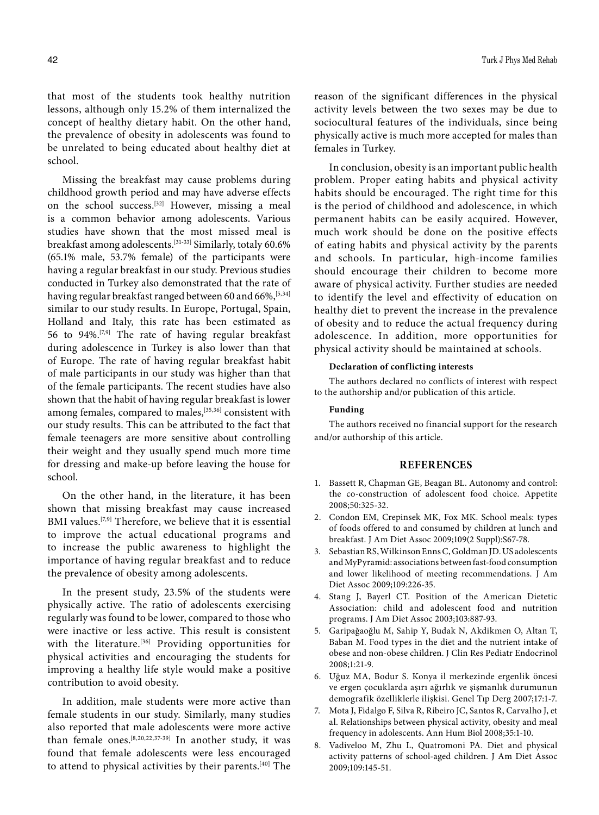that most of the students took healthy nutrition lessons, although only 15.2% of them internalized the concept of healthy dietary habit. On the other hand, the prevalence of obesity in adolescents was found to be unrelated to being educated about healthy diet at school.

Missing the breakfast may cause problems during childhood growth period and may have adverse effects on the school success.[32] However, missing a meal is a common behavior among adolescents. Various studies have shown that the most missed meal is breakfast among adolescents.[31-33] Similarly, totaly 60.6% (65.1% male, 53.7% female) of the participants were having a regular breakfast in our study. Previous studies conducted in Turkey also demonstrated that the rate of having regular breakfast ranged between 60 and 66%,<sup>[5,34]</sup> similar to our study results. In Europe, Portugal, Spain, Holland and Italy, this rate has been estimated as 56 to 94%.[7,9] The rate of having regular breakfast during adolescence in Turkey is also lower than that of Europe. The rate of having regular breakfast habit of male participants in our study was higher than that of the female participants. The recent studies have also shown that the habit of having regular breakfast is lower among females, compared to males,<sup>[35,36]</sup> consistent with our study results. This can be attributed to the fact that female teenagers are more sensitive about controlling their weight and they usually spend much more time for dressing and make-up before leaving the house for school.

On the other hand, in the literature, it has been shown that missing breakfast may cause increased BMI values.<sup>[7,9]</sup> Therefore, we believe that it is essential to improve the actual educational programs and to increase the public awareness to highlight the importance of having regular breakfast and to reduce the prevalence of obesity among adolescents.

In the present study, 23.5% of the students were physically active. The ratio of adolescents exercising regularly was found to be lower, compared to those who were inactive or less active. This result is consistent with the literature.<sup>[36]</sup> Providing opportunities for physical activities and encouraging the students for improving a healthy life style would make a positive contribution to avoid obesity.

In addition, male students were more active than female students in our study. Similarly, many studies also reported that male adolescents were more active than female ones.[8,20,22,37-39] In another study, it was found that female adolescents were less encouraged to attend to physical activities by their parents.[40] The reason of the significant differences in the physical activity levels between the two sexes may be due to sociocultural features of the individuals, since being physically active is much more accepted for males than females in Turkey.

In conclusion, obesity is an important public health problem. Proper eating habits and physical activity habits should be encouraged. The right time for this is the period of childhood and adolescence, in which permanent habits can be easily acquired. However, much work should be done on the positive effects of eating habits and physical activity by the parents and schools. In particular, high-income families should encourage their children to become more aware of physical activity. Further studies are needed to identify the level and effectivity of education on healthy diet to prevent the increase in the prevalence of obesity and to reduce the actual frequency during adolescence. In addition, more opportunities for physical activity should be maintained at schools.

#### **Declaration of conflicting interests**

The authors declared no conflicts of interest with respect to the authorship and/or publication of this article.

#### **Funding**

The authors received no financial support for the research and/or authorship of this article.

#### **REFERENCES**

- 1. Bassett R, Chapman GE, Beagan BL. Autonomy and control: the co-construction of adolescent food choice. Appetite 2008;50:325-32.
- 2. Condon EM, Crepinsek MK, Fox MK. School meals: types of foods offered to and consumed by children at lunch and breakfast. J Am Diet Assoc 2009;109(2 Suppl):S67-78.
- 3. Sebastian RS, Wilkinson Enns C, Goldman JD. US adolescents and MyPyramid: associations between fast-food consumption and lower likelihood of meeting recommendations. J Am Diet Assoc 2009;109:226-35.
- 4. Stang J, Bayerl CT. Position of the American Dietetic Association: child and adolescent food and nutrition programs. J Am Diet Assoc 2003;103:887-93.
- 5. Garipağaoğlu M, Sahip Y, Budak N, Akdikmen O, Altan T, Baban M. Food types in the diet and the nutrient intake of obese and non-obese children. J Clin Res Pediatr Endocrinol 2008;1:21-9.
- 6. Uğuz MA, Bodur S. Konya il merkezinde ergenlik öncesi ve ergen çocuklarda aşırı ağırlık ve şişmanlık durumunun demografik özelliklerle ilişkisi. Genel Tıp Derg 2007;17:1-7.
- 7. Mota J, Fidalgo F, Silva R, Ribeiro JC, Santos R, Carvalho J, et al. Relationships between physical activity, obesity and meal frequency in adolescents. Ann Hum Biol 2008;35:1-10.
- 8. Vadiveloo M, Zhu L, Quatromoni PA. Diet and physical activity patterns of school-aged children. J Am Diet Assoc 2009;109:145-51.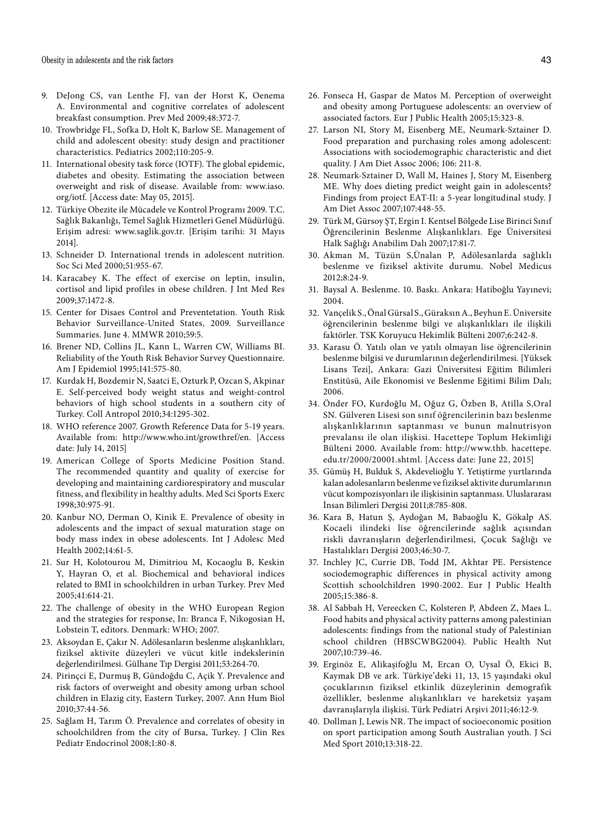- 9. DeJong CS, van Lenthe FJ, van der Horst K, Oenema A. Environmental and cognitive correlates of adolescent breakfast consumption. Prev Med 2009;48:372-7.
- 10. Trowbridge FL, Sofka D, Holt K, Barlow SE. Management of child and adolescent obesity: study design and practitioner characteristics. Pediatrics 2002;110:205-9.
- 11. International obesity task force (IOTF). The global epidemic, diabetes and obesity. Estimating the association between overweight and risk of disease. Available from: www.iaso. org/iotf. [Access date: May 05, 2015].
- 12. Türkiye Obezite ile Mücadele ve Kontrol Programı 2009. T.C. Sağlık Bakanlığı, Temel Sağlık Hizmetleri Genel Müdürlüğü. Erişim adresi: www.saglik.gov.tr. [Erişim tarihi: 31 Mayıs 2014].
- 13. Schneider D. International trends in adolescent nutrition. Soc Sci Med 2000;51:955-67.
- 14. Karacabey K. The effect of exercise on leptin, insulin, cortisol and lipid profiles in obese children. J Int Med Res 2009;37:1472-8.
- 15. Center for Disaes Control and Preventetation. Youth Risk Behavior Surveillance-United States, 2009. Surveillance Summaries. June 4. MMWR 2010;59:5.
- 16. Brener ND, Collins JL, Kann L, Warren CW, Williams BI. Reliability of the Youth Risk Behavior Survey Questionnaire. Am J Epidemiol 1995;141:575-80.
- 17. Kurdak H, Bozdemir N, Saatci E, Ozturk P, Ozcan S, Akpinar E. Self-perceived body weight status and weight-control behaviors of high school students in a southern city of Turkey. Coll Antropol 2010;34:1295-302.
- 18. WHO reference 2007. Growth Reference Data for 5-19 years. Available from: http://www.who.int/growthref/en. [Access date: July 14, 2015]
- 19. American College of Sports Medicine Position Stand. The recommended quantity and quality of exercise for developing and maintaining cardiorespiratory and muscular fitness, and flexibility in healthy adults. Med Sci Sports Exerc 1998;30:975-91.
- 20. Kanbur NO, Derman O, Kinik E. Prevalence of obesity in adolescents and the impact of sexual maturation stage on body mass index in obese adolescents. Int J Adolesc Med Health 2002;14:61-5.
- 21. Sur H, Kolotourou M, Dimitriou M, Kocaoglu B, Keskin Y, Hayran O, et al. Biochemical and behavioral indices related to BMI in schoolchildren in urban Turkey. Prev Med 2005;41:614-21.
- 22. The challenge of obesity in the WHO European Region and the strategies for response, In: Branca F, Nikogosian H, Lobstein T, editors. Denmark: WHO; 2007.
- 23. Aksoydan E, Çakır N. Adölesanların beslenme alışkanlıkları, fiziksel aktivite düzeyleri ve vücut kitle indekslerinin değerlendirilmesi. Gülhane Tıp Dergisi 2011;53:264-70.
- 24. Pirinçci E, Durmuş B, Gündoğdu C, Açik Y. Prevalence and risk factors of overweight and obesity among urban school children in Elazig city, Eastern Turkey, 2007. Ann Hum Biol 2010;37:44-56.
- 25. Sağlam H, Tarım Ö. Prevalence and correlates of obesity in schoolchildren from the city of Bursa, Turkey. J Clin Res Pediatr Endocrinol 2008;1:80-8.
- 26. Fonseca H, Gaspar de Matos M. Perception of overweight and obesity among Portuguese adolescents: an overview of associated factors. Eur J Public Health 2005;15:323-8.
- 27. Larson NI, Story M, Eisenberg ME, Neumark-Sztainer D. Food preparation and purchasing roles among adolescent: Associations with sociodemographic characteristic and diet quality. J Am Diet Assoc 2006; 106: 211-8.
- 28. Neumark-Sztainer D, Wall M, Haines J, Story M, Eisenberg ME. Why does dieting predict weight gain in adolescents? Findings from project EAT-II: a 5-year longitudinal study. J Am Diet Assoc 2007;107:448-55.
- 29. Türk M, Gürsoy ŞT, Ergin I. Kentsel Bölgede Lise Birinci Sınıf Öğrencilerinin Beslenme Alışkanlıkları. Ege Üniversitesi Halk Sağlığı Anabilim Dalı 2007;17:81-7.
- 30. Akman M, Tüzün S,Ünalan P, Adölesanlarda sağlıklı beslenme ve fiziksel aktivite durumu. Nobel Medicus 2012;8:24-9.
- 31. Baysal A. Beslenme. 10. Baskı. Ankara: Hatiboğlu Yayınevi; 2004.
- 32. Vançelik S., Önal Gürsal S., Güraksın A., Beyhun E. Üniversite öğrencilerinin beslenme bilgi ve alışkanlıkları ile ilişkili faktörler. TSK Koruyucu Hekimlik Bülteni 2007;6:242-8.
- 33. Karasu Ö. Yatılı olan ve yatılı olmayan lise öğrencilerinin beslenme bilgisi ve durumlarının değerlendirilmesi. [Yüksek Lisans Tezi], Ankara: Gazi Üniversitesi Eğitim Bilimleri Enstitüsü, Aile Ekonomisi ve Beslenme Eğitimi Bilim Dalı; 2006.
- 34. Önder FO, Kurdoğlu M, Oğuz G, Özben B, Atilla S,Oral SN. Gülveren Lisesi son sınıf öğrencilerinin bazı beslenme alışkanlıklarının saptanması ve bunun malnutrisyon prevalansı ile olan ilişkisi. Hacettepe Toplum Hekimliği Bülteni 2000. Available from: http://www.thb. hacettepe. edu.tr/2000/20001.shtml. [Access date: June 22, 2015]
- 35. Gümüş H, Bulduk S, Akdevelioğlu Y. Yetiştirme yurtlarında kalan adolesanların beslenme ve fiziksel aktivite durumlarının vücut kompozisyonları ile ilişkisinin saptanması. Uluslararası İnsan Bilimleri Dergisi 2011;8:785-808.
- 36. Kara B, Hatun Ş, Aydoğan M, Babaoğlu K, Gökalp AS. Kocaeli ilindeki lise öğrencilerinde sağlık açısından riskli davranışların değerlendirilmesi, Çocuk Sağlığı ve Hastalıkları Dergisi 2003;46:30-7.
- 37. Inchley JC, Currie DB, Todd JM, Akhtar PE. Persistence sociodemographic differences in physical activity among Scottish schoolchildren 1990-2002. Eur J Public Health 2005;15:386-8.
- 38. Al Sabbah H, Vereecken C, Kolsteren P, Abdeen Z, Maes L. Food habits and physical activity patterns among palestinian adolescents: findings from the national study of Palestinian school children (HBSCWBG2004). Public Health Nut 2007;10:739-46.
- 39. Erginöz E, Alikaşifoğlu M, Ercan O, Uysal Ö, Ekici B, Kaymak DB ve ark. Türkiye'deki 11, 13, 15 yaşındaki okul çocuklarının fiziksel etkinlik düzeylerinin demografik özellikler, beslenme alışkanlıkları ve hareketsiz yaşam davranışlarıyla ilişkisi. Türk Pediatri Arşivi 2011;46:12-9.
- 40. Dollman J, Lewis NR. The impact of socioeconomic position on sport participation among South Australian youth. J Sci Med Sport 2010;13:318-22.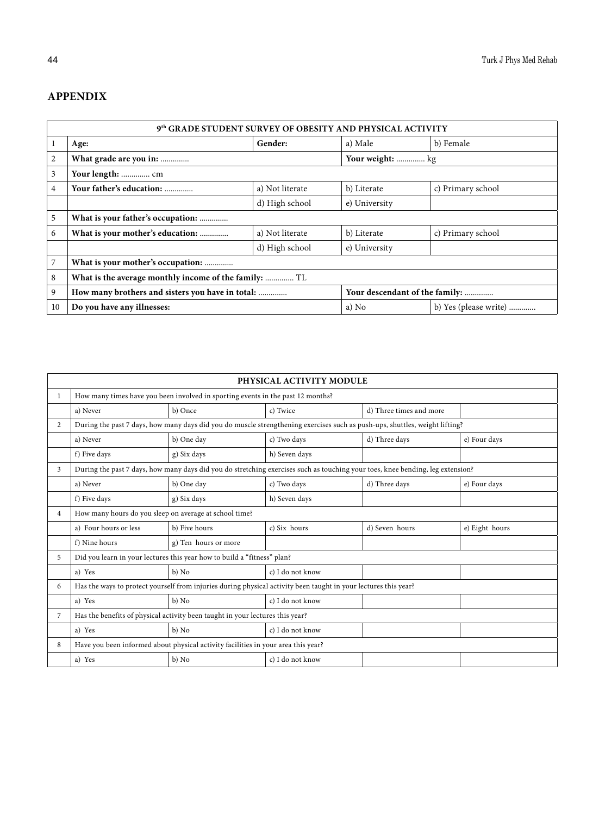## **Appendix**

|                | 9th GRADE STUDENT SURVEY OF OBESITY AND PHYSICAL ACTIVITY                               |                  |               |           |  |  |  |  |
|----------------|-----------------------------------------------------------------------------------------|------------------|---------------|-----------|--|--|--|--|
|                | Age:                                                                                    | Gender:          | a) Male       | b) Female |  |  |  |  |
| $\overline{2}$ | What grade are you in:                                                                  | Your weight:  kg |               |           |  |  |  |  |
| 3              | Your length:  cm                                                                        |                  |               |           |  |  |  |  |
| 4              | Your father's education:<br>a) Not literate<br>b) Literate<br>c) Primary school         |                  |               |           |  |  |  |  |
|                |                                                                                         | d) High school   | e) University |           |  |  |  |  |
| 5              | What is your father's occupation:                                                       |                  |               |           |  |  |  |  |
| 6              | What is your mother's education:<br>a) Not literate<br>b) Literate<br>c) Primary school |                  |               |           |  |  |  |  |
|                |                                                                                         | d) High school   | e) University |           |  |  |  |  |
| 7              | What is your mother's occupation:                                                       |                  |               |           |  |  |  |  |
| 8              | What is the average monthly income of the family:  TL                                   |                  |               |           |  |  |  |  |
| 9              | How many brothers and sisters you have in total:<br>Your descendant of the family:      |                  |               |           |  |  |  |  |
| 10             | b) Yes (please write)<br>Do you have any illnesses:<br>a) No                            |                  |               |           |  |  |  |  |

| PHYSICAL ACTIVITY MODULE |                                                                                                                             |                                                                                   |                  |                                                                                                                                |                |  |  |  |
|--------------------------|-----------------------------------------------------------------------------------------------------------------------------|-----------------------------------------------------------------------------------|------------------|--------------------------------------------------------------------------------------------------------------------------------|----------------|--|--|--|
| 1                        | How many times have you been involved in sporting events in the past 12 months?                                             |                                                                                   |                  |                                                                                                                                |                |  |  |  |
|                          | a) Never                                                                                                                    | b) Once<br>c) Twice<br>d) Three times and more                                    |                  |                                                                                                                                |                |  |  |  |
| $\overline{2}$           | During the past 7 days, how many days did you do muscle strengthening exercises such as push-ups, shuttles, weight lifting? |                                                                                   |                  |                                                                                                                                |                |  |  |  |
|                          | a) Never                                                                                                                    | b) One day                                                                        | c) Two days      | d) Three days                                                                                                                  | e) Four days   |  |  |  |
|                          | f) Five days                                                                                                                | g) Six days                                                                       | h) Seven days    |                                                                                                                                |                |  |  |  |
| 3                        |                                                                                                                             |                                                                                   |                  | During the past 7 days, how many days did you do stretching exercises such as touching your toes, knee bending, leg extension? |                |  |  |  |
|                          | b) One day<br>c) Two days<br>d) Three days<br>a) Never<br>e) Four days                                                      |                                                                                   |                  |                                                                                                                                |                |  |  |  |
|                          | f) Five days                                                                                                                | g) Six days                                                                       | h) Seven days    |                                                                                                                                |                |  |  |  |
| 4                        | How many hours do you sleep on average at school time?                                                                      |                                                                                   |                  |                                                                                                                                |                |  |  |  |
|                          | a) Four hours or less                                                                                                       | b) Five hours                                                                     | c) Six hours     | d) Seven hours                                                                                                                 | e) Eight hours |  |  |  |
|                          | f) Nine hours                                                                                                               | g) Ten hours or more                                                              |                  |                                                                                                                                |                |  |  |  |
| 5                        |                                                                                                                             | Did you learn in your lectures this year how to build a "fitness" plan?           |                  |                                                                                                                                |                |  |  |  |
|                          | a) Yes                                                                                                                      | b) No                                                                             | c) I do not know |                                                                                                                                |                |  |  |  |
| 6                        | Has the ways to protect yourself from injuries during physical activity been taught in your lectures this year?             |                                                                                   |                  |                                                                                                                                |                |  |  |  |
|                          | a) Yes                                                                                                                      | b) No                                                                             | c) I do not know |                                                                                                                                |                |  |  |  |
| $\overline{7}$           | Has the benefits of physical activity been taught in your lectures this year?                                               |                                                                                   |                  |                                                                                                                                |                |  |  |  |
|                          | a) Yes                                                                                                                      | b) No                                                                             | c) I do not know |                                                                                                                                |                |  |  |  |
| 8                        |                                                                                                                             | Have you been informed about physical activity facilities in your area this year? |                  |                                                                                                                                |                |  |  |  |
|                          | a) Yes                                                                                                                      | b) No                                                                             | c) I do not know |                                                                                                                                |                |  |  |  |